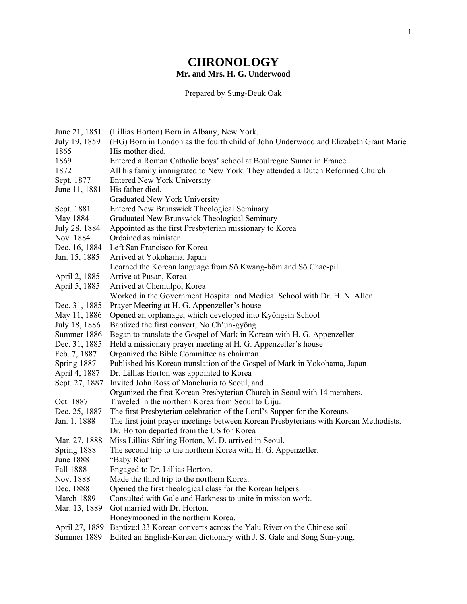## **CHRONOLOGY Mr. and Mrs. H. G. Underwood**

Prepared by Sung-Deuk Oak

| June 21, 1851    | (Lillias Horton) Born in Albany, New York.                                           |
|------------------|--------------------------------------------------------------------------------------|
| July 19, 1859    | (HG) Born in London as the fourth child of John Underwood and Elizabeth Grant Marie  |
| 1865             | His mother died.                                                                     |
| 1869             | Entered a Roman Catholic boys' school at Boulregne Sumer in France                   |
| 1872             | All his family immigrated to New York. They attended a Dutch Reformed Church         |
| Sept. 1877       | <b>Entered New York University</b>                                                   |
| June 11, 1881    | His father died.                                                                     |
|                  | Graduated New York University                                                        |
| Sept. 1881       | <b>Entered New Brunswick Theological Seminary</b>                                    |
| May 1884         | Graduated New Brunswick Theological Seminary                                         |
| July 28, 1884    | Appointed as the first Presbyterian missionary to Korea                              |
| Nov. 1884        | Ordained as minister                                                                 |
| Dec. 16, 1884    | Left San Francisco for Korea                                                         |
| Jan. 15, 1885    | Arrived at Yokohama, Japan                                                           |
|                  | Learned the Korean language from Sŏ Kwang-bŏm and Sŏ Chae-pil                        |
| April 2, 1885    | Arrive at Pusan, Korea                                                               |
| April 5, 1885    | Arrived at Chemulpo, Korea                                                           |
|                  | Worked in the Government Hospital and Medical School with Dr. H. N. Allen            |
| Dec. 31, 1885    | Prayer Meeting at H. G. Appenzeller's house                                          |
| May 11, 1886     | Opened an orphanage, which developed into Kyŏngsin School                            |
| July 18, 1886    | Baptized the first convert, No Ch'un-gyŏng                                           |
| Summer 1886      | Began to translate the Gospel of Mark in Korean with H. G. Appenzeller               |
| Dec. 31, 1885    | Held a missionary prayer meeting at H. G. Appenzeller's house                        |
| Feb. 7, 1887     | Organized the Bible Committee as chairman                                            |
| Spring 1887      | Published his Korean translation of the Gospel of Mark in Yokohama, Japan            |
| April 4, 1887    | Dr. Lillias Horton was appointed to Korea                                            |
| Sept. 27, 1887   | Invited John Ross of Manchuria to Seoul, and                                         |
|                  | Organized the first Korean Presbyterian Church in Seoul with 14 members.             |
| Oct. 1887        | Traveled in the northern Korea from Seoul to Ujju.                                   |
| Dec. 25, 1887    | The first Presbyterian celebration of the Lord's Supper for the Koreans.             |
| Jan. 1. 1888     | The first joint prayer meetings between Korean Presbyterians with Korean Methodists. |
|                  | Dr. Horton departed from the US for Korea                                            |
| Mar. 27, 1888    | Miss Lillias Stirling Horton, M. D. arrived in Seoul.                                |
| Spring 1888      | The second trip to the northern Korea with H. G. Appenzeller.                        |
| <b>June 1888</b> | "Baby Riot"                                                                          |
| Fall 1888        | Engaged to Dr. Lillias Horton.                                                       |
| Nov. 1888        | Made the third trip to the northern Korea.                                           |
| Dec. 1888        | Opened the first theological class for the Korean helpers.                           |
| March 1889       | Consulted with Gale and Harkness to unite in mission work.                           |
| Mar. 13, 1889    | Got married with Dr. Horton.                                                         |
|                  | Honeymooned in the northern Korea.                                                   |
| April 27, 1889   | Baptized 33 Korean converts across the Yalu River on the Chinese soil.               |
| Summer 1889      | Edited an English-Korean dictionary with J. S. Gale and Song Sun-yong.               |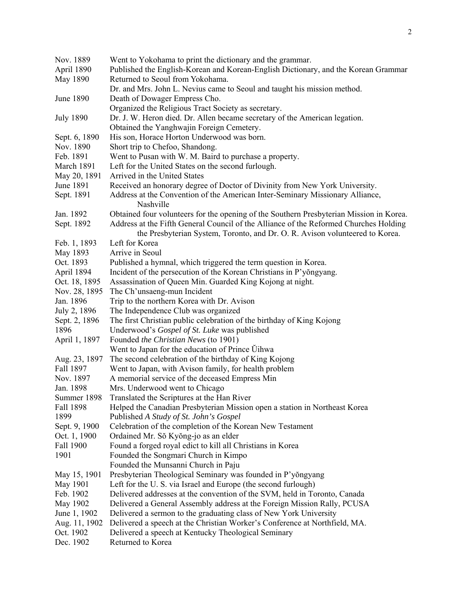| Nov. 1889        | Went to Yokohama to print the dictionary and the grammar.                                                                                                             |
|------------------|-----------------------------------------------------------------------------------------------------------------------------------------------------------------------|
| April 1890       | Published the English-Korean and Korean-English Dictionary, and the Korean Grammar                                                                                    |
| May 1890         | Returned to Seoul from Yokohama.                                                                                                                                      |
|                  | Dr. and Mrs. John L. Nevius came to Seoul and taught his mission method.                                                                                              |
| June 1890        | Death of Dowager Empress Cho.                                                                                                                                         |
|                  | Organized the Religious Tract Society as secretary.                                                                                                                   |
| <b>July 1890</b> | Dr. J. W. Heron died. Dr. Allen became secretary of the American legation.                                                                                            |
|                  | Obtained the Yanghwajin Foreign Cemetery.                                                                                                                             |
| Sept. 6, 1890    | His son, Horace Horton Underwood was born.                                                                                                                            |
| Nov. 1890        | Short trip to Chefoo, Shandong.                                                                                                                                       |
| Feb. 1891        | Went to Pusan with W. M. Baird to purchase a property.                                                                                                                |
| March 1891       | Left for the United States on the second furlough.                                                                                                                    |
| May 20, 1891     | Arrived in the United States                                                                                                                                          |
| <b>June 1891</b> | Received an honorary degree of Doctor of Divinity from New York University.                                                                                           |
| Sept. 1891       | Address at the Convention of the American Inter-Seminary Missionary Alliance,<br>Nashville                                                                            |
| Jan. 1892        | Obtained four volunteers for the opening of the Southern Presbyterian Mission in Korea.                                                                               |
| Sept. 1892       | Address at the Fifth General Council of the Alliance of the Reformed Churches Holding<br>the Presbyterian System, Toronto, and Dr. O. R. Avison volunteered to Korea. |
| Feb. 1, 1893     | Left for Korea                                                                                                                                                        |
| May 1893         | Arrive in Seoul                                                                                                                                                       |
| Oct. 1893        | Published a hymnal, which triggered the term question in Korea.                                                                                                       |
| April 1894       | Incident of the persecution of the Korean Christians in P'yongyang.                                                                                                   |
| Oct. 18, 1895    | Assassination of Queen Min. Guarded King Kojong at night.                                                                                                             |
| Nov. 28, 1895    | The Ch'unsaeng-mun Incident                                                                                                                                           |
| Jan. 1896        | Trip to the northern Korea with Dr. Avison                                                                                                                            |
| July 2, 1896     | The Independence Club was organized                                                                                                                                   |
| Sept. 2, 1896    | The first Christian public celebration of the birthday of King Kojong                                                                                                 |
| 1896             | Underwood's Gospel of St. Luke was published                                                                                                                          |
| April 1, 1897    | Founded the Christian News (to 1901)                                                                                                                                  |
|                  | Went to Japan for the education of Prince Ulhwa                                                                                                                       |
| Aug. 23, 1897    | The second celebration of the birthday of King Kojong                                                                                                                 |
| Fall 1897        | Went to Japan, with Avison family, for health problem                                                                                                                 |
| Nov. 1897        | A memorial service of the deceased Empress Min                                                                                                                        |
| Jan. 1898        | Mrs. Underwood went to Chicago                                                                                                                                        |
| Summer 1898      | Translated the Scriptures at the Han River                                                                                                                            |
| Fall 1898        | Helped the Canadian Presbyterian Mission open a station in Northeast Korea                                                                                            |
| 1899             | Published A Study of St. John's Gospel                                                                                                                                |
| Sept. 9, 1900    | Celebration of the completion of the Korean New Testament                                                                                                             |
| Oct. 1, 1900     | Ordained Mr. Sŏ Kyŏng-jo as an elder                                                                                                                                  |
| Fall 1900        | Found a forged royal edict to kill all Christians in Korea                                                                                                            |
| 1901             | Founded the Songmari Church in Kimpo                                                                                                                                  |
|                  | Founded the Munsanni Church in Paju                                                                                                                                   |
| May 15, 1901     | Presbyterian Theological Seminary was founded in P'yongyang                                                                                                           |
| May 1901         | Left for the U.S. via Israel and Europe (the second furlough)                                                                                                         |
| Feb. 1902        | Delivered addresses at the convention of the SVM, held in Toronto, Canada                                                                                             |
| May 1902         | Delivered a General Assembly address at the Foreign Mission Rally, PCUSA                                                                                              |
| June 1, 1902     | Delivered a sermon to the graduating class of New York University                                                                                                     |
| Aug. 11, 1902    | Delivered a speech at the Christian Worker's Conference at Northfield, MA.                                                                                            |
| Oct. 1902        | Delivered a speech at Kentucky Theological Seminary                                                                                                                   |
| Dec. 1902        | Returned to Korea                                                                                                                                                     |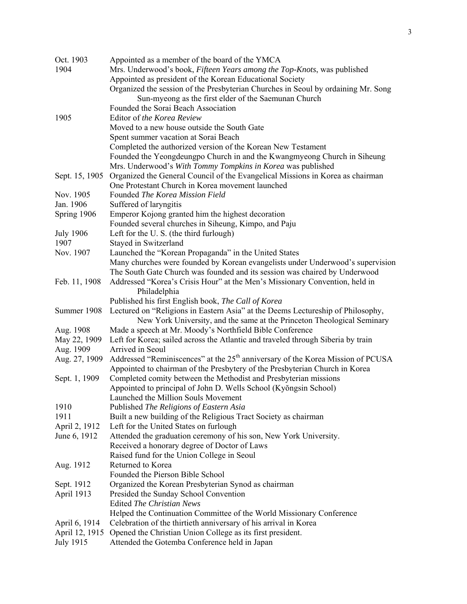| Oct. 1903      | Appointed as a member of the board of the YMCA                                    |
|----------------|-----------------------------------------------------------------------------------|
| 1904           | Mrs. Underwood's book, Fifteen Years among the Top-Knots, was published           |
|                | Appointed as president of the Korean Educational Society                          |
|                | Organized the session of the Presbyterian Churches in Seoul by ordaining Mr. Song |
|                | Sun-myeong as the first elder of the Saemunan Church                              |
|                | Founded the Sorai Beach Association                                               |
| 1905           | Editor of the Korea Review                                                        |
|                | Moved to a new house outside the South Gate                                       |
|                | Spent summer vacation at Sorai Beach                                              |
|                | Completed the authorized version of the Korean New Testament                      |
|                | Founded the Yeongdeungpo Church in and the Kwangmyeong Church in Siheung          |
|                | Mrs. Underwood's With Tommy Tompkins in Korea was published                       |
| Sept. 15, 1905 | Organized the General Council of the Evangelical Missions in Korea as chairman    |
|                | One Protestant Church in Korea movement launched                                  |
| Nov. 1905      | Founded <i>The Korea Mission Field</i>                                            |
| Jan. 1906      | Suffered of laryngitis                                                            |
| Spring 1906    | Emperor Kojong granted him the highest decoration                                 |

Spring 1906 Emperor Kojong granted him the highest decoration Founded several churches in Siheung, Kimpo, and Paju

- July 1906 Left for the U. S. (the third furlough) 1907 Stayed in Switzerland Nov. 1907 Launched the "Korean Propaganda" in the United States Many churches were founded by Korean evangelists under Underwood's supervision The South Gate Church was founded and its session was chaired by Underwood Feb. 11, 1908 Addressed "Korea's Crisis Hour" at the Men's Missionary Convention, held in Philadelphia Published his first English book, *The Call of Korea* Summer 1908 Lectured on "Religions in Eastern Asia" at the Deems Lectureship of Philosophy, New York University, and the same at the Princeton Theological Seminary Aug. 1908 Made a speech at Mr. Moody's Northfield Bible Conference May 22, 1909 Left for Korea; sailed across the Atlantic and traveled through Siberia by train Aug. 1909 Arrived in Seoul
- Aug. 27, 1909 Addressed "Reminiscences" at the 25<sup>th</sup> anniversary of the Korea Mission of PCUSA Appointed to chairman of the Presbytery of the Presbyterian Church in Korea Sept. 1, 1909 Completed comity between the Methodist and Presbyterian missions
	- Appointed to principal of John D. Wells School (Kyŏngsin School) Launched the Million Souls Movement
	- 1910 Published *The Religions of Eastern Asia*
	- 1911 Built a new building of the Religious Tract Society as chairman
	- April 2, 1912 Left for the United States on furlough
	- June 6, 1912 Attended the graduation ceremony of his son, New York University. Received a honorary degree of Doctor of Laws Raised fund for the Union College in Seoul
	- Aug. 1912 Returned to Korea
	- Founded the Pierson Bible School
	- Sept. 1912 Organized the Korean Presbyterian Synod as chairman
	- April 1913 Presided the Sunday School Convention Edited *The Christian News* Helped the Continuation Committee of the World Missionary Conference April 6, 1914 Celebration of the thirtieth anniversary of his arrival in Korea
	- April 12, 1915 Opened the Christian Union College as its first president.
	- July 1915 Attended the Gotemba Conference held in Japan